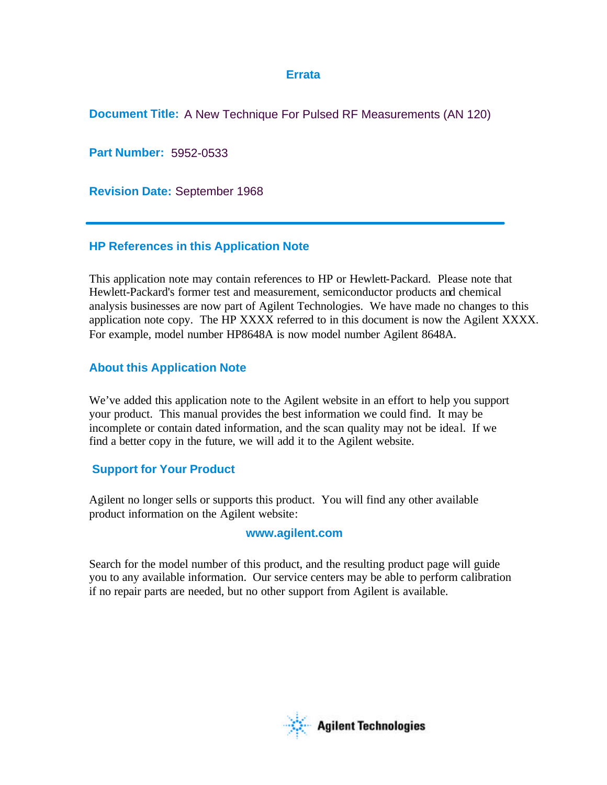# **Errata**

**Document Title:** A New Technique For Pulsed RF Measurements (AN 120)

**Part Number:** 5952-0533

**Revision Date:** September 1968

# **HP References in this Application Note**

This application note may contain references to HP or Hewlett-Packard. Please note that Hewlett-Packard's former test and measurement, semiconductor products and chemical analysis businesses are now part of Agilent Technologies. We have made no changes to this application note copy. The HP XXXX referred to in this document is now the Agilent XXXX. For example, model number HP8648A is now model number Agilent 8648A.

# **About this Application Note**

We've added this application note to the Agilent website in an effort to help you support your product. This manual provides the best information we could find. It may be incomplete or contain dated information, and the scan quality may not be ideal. If we find a better copy in the future, we will add it to the Agilent website.

# **Support for Your Product**

Agilent no longer sells or supports this product. You will find any other available product information on the Agilent website:

# **www.agilent.com**

Search for the model number of this product, and the resulting product page will guide you to any available information. Our service centers may be able to perform calibration if no repair parts are needed, but no other support from Agilent is available.

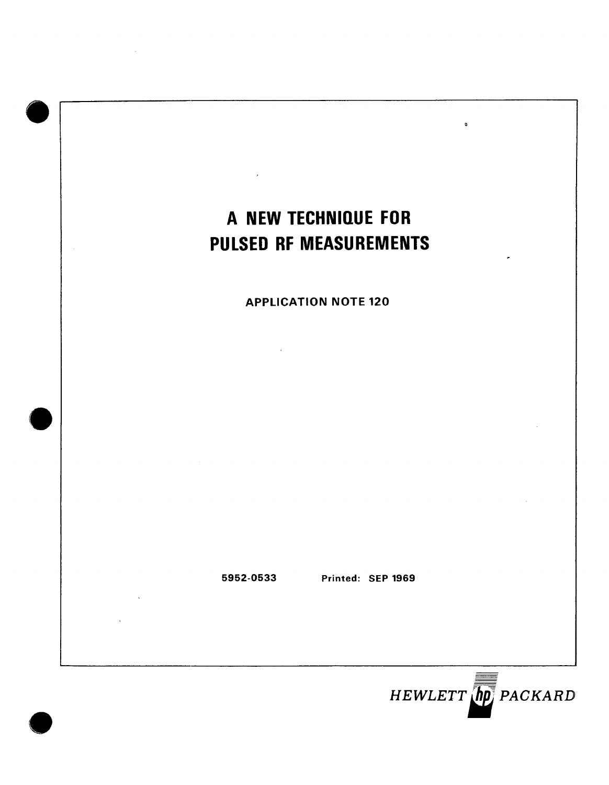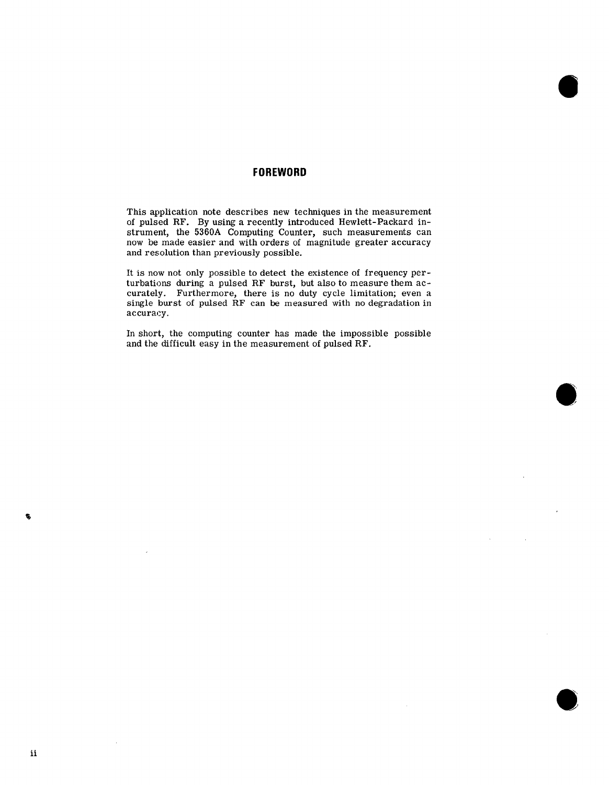# **FOREWORD**

This application note describes new techniques in the measurement of pulsed RF. By using a recently introduced Hewlett-Packard instrument, the 5360A Computing Counter, such measurements can now be made easier and with orders of magnitude greater accuracy and resolution than previously possible.

It is now not only possible to detect the existence of frequency perturbations during a pulsed RF burst, but also to measure them accurately. Furthermore, there is no duty cycle limitation; even a single burst of pulsed RF can be measured with no degradation in accuracy.

In short, the computing counter has made the impossible possible and the difficult easy in the measurement of pulsed RF.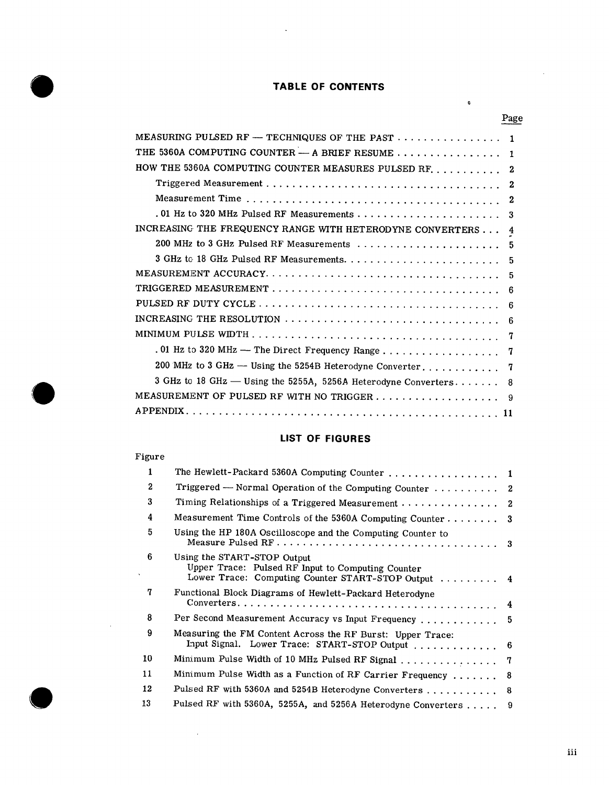# **TABLE OF CONTENTS**

 $\hat{\mathcal{L}}$ 

|                                                                              | Page |
|------------------------------------------------------------------------------|------|
| MEASURING PULSED RF - TECHNIQUES OF THE PAST $\dots \dots \dots \dots \dots$ |      |
| THE 5360A COMPUTING COUNTER - A BRIEF RESUME                                 | Ŧ    |
| HOW THE 5360A COMPUTING COUNTER MEASURES PULSED RF.                          | 2    |
|                                                                              | 2    |
|                                                                              | 2    |
| .01 Hz to 320 MHz Pulsed RF Measurements                                     | 3    |
| INCREASING THE FREQUENCY RANGE WITH HETERODYNE CONVERTERS                    | 4    |
| 200 MHz to 3 GHz Pulsed RF Measurements                                      | 5    |
|                                                                              | 5    |
|                                                                              | -5   |
|                                                                              | 6    |
|                                                                              | -6   |
| INCREASING THE RESOLUTION                                                    | -6   |
|                                                                              |      |
| . 01 Hz to 320 MHz - The Direct Frequency Range                              | 7    |
| 200 MHz to 3 GHz - Using the 5254B Heterodyne Converter                      | 7    |
| 3 GHz to 18 GHz - Using the 5255A, 5256A Heterodyne Converters               | 8    |
| MEASUREMENT OF PULSED RF WITH NO TRIGGER 9                                   |      |
| <b>APPENDIX</b><br>11                                                        |      |

# LIST OF FIGURES

# Figure

 $\sim 10$ 

 $\ddot{\phantom{1}}$ 

|              | The Hewlett-Packard 5360A Computing Counter  1                                                                                          |    |  |  |  |
|--------------|-----------------------------------------------------------------------------------------------------------------------------------------|----|--|--|--|
| $\mathbf{2}$ | Triggered - Normal Operation of the Computing Counter  2                                                                                |    |  |  |  |
| 3            |                                                                                                                                         |    |  |  |  |
| 4            | Measurement Time Controls of the 5360A Computing Counter 3                                                                              |    |  |  |  |
| 5            | Using the HP 180A Oscilloscope and the Computing Counter to                                                                             |    |  |  |  |
| 6            | Using the START-STOP Output<br>Upper Trace: Pulsed RF Input to Computing Counter<br>Lower Trace: Computing Counter START-STOP Output  4 |    |  |  |  |
| 7            | Functional Block Diagrams of Hewlett-Packard Heterodyne                                                                                 |    |  |  |  |
| 8            | Per Second Measurement Accuracy vs Input Frequency  5                                                                                   |    |  |  |  |
| 9            | Measuring the FM Content Across the RF Burst: Upper Trace:<br>Input Signal. Lower Trace: START-STOP Output  6                           |    |  |  |  |
| 10           | Minimum Pulse Width of 10 MHz Pulsed RF Signal<br>- 7                                                                                   |    |  |  |  |
| 11           | Minimum Pulse Width as a Function of RF Carrier Frequency                                                                               | -8 |  |  |  |
| 12           | Pulsed RF with 5360A and 5254B Heterodyne Converters                                                                                    | 8  |  |  |  |
| 13           | Pulsed RF with 5360A, 5255A, and 5256A Heterodyne Converters  9                                                                         |    |  |  |  |

 $\mathbf{0}$ 

 $\cdot$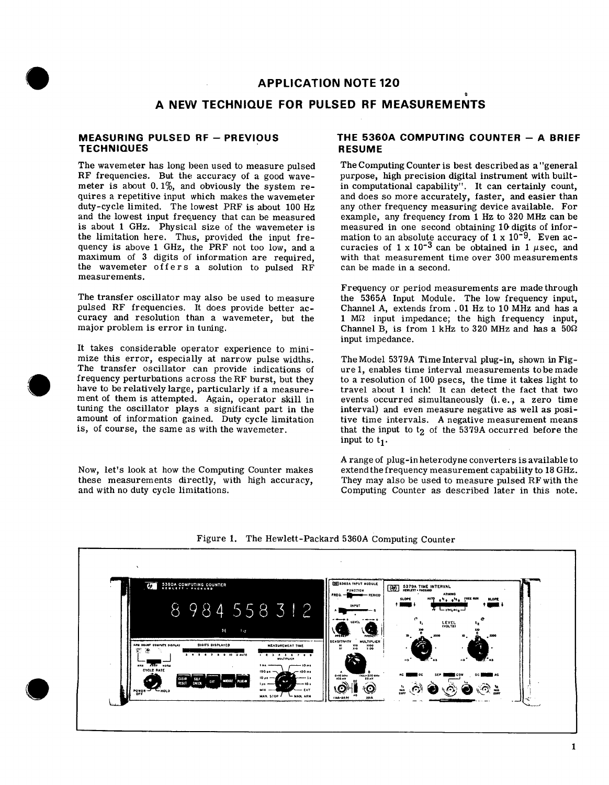# **APPLICATION NOTE 120**

# A NEW TECHNIQUE FOR PULSED RF MEASUREMENTS

## **MEASURING PULSED RF - PREVIOUS TECHNIQUES**

The wavemeter has long been used to measure pulsed RF frequencies. But the accuracy of a good wavemeter is about 0.1%, and obviously the system requires a repetitive input which makes the wavemeter duty-cycle limited. The lowest PRF is about 100 Hz and the lowest input frequency that can be measured is about 1 GHz. Physical size of the wavemeter is the limitation here. Thus, provided the input frequency is above 1 GHz, the PRF not too low, and a maximum of 3 digits of information are required, the wavemeter offers a solution to pulsed RF measurements

The transfer oscillator may also be used to measure pulsed RF frequencies. It does provide better accuracy and resolution than a wavemeter, but the major problem is error in tuning.

It takes considerable operator experience to minimize this error, especially at narrow pulse widths. The transfer oscillator can provide indications of frequency perturbations across the RF burst, but they have to be relatively large, particularly if a measurement of them is attempted. Again, operator skill in tuning the oscillator plays a significant part in the amount of information gained. Duty cycle limitation is, of course, the same as with the wavemeter.

Now, let's look at how the Computing Counter makes these measurements directly, with high accuracy, and with no duty cycle limitations.

# THE 5360A COMPUTING COUNTER - A BRIEF **RESUME**

The Computing Counter is best described as a "general" purpose, high precision digital instrument with builtin computational capability". It can certainly count, and does so more accurately, faster, and easier than any other frequency measuring device available. For example, any frequency from 1 Hz to 320 MHz can be measured in one second obtaining 10 digits of information to an absolute accuracy of  $1 \times 10^{-9}$ . Even accuracies of  $1 \times 10^{-3}$  can be obtained in 1  $\mu$ sec, and with that measurement time over 300 measurements can be made in a second.

Frequency or period measurements are made through the 5365A Input Module. The low frequency input, Channel A, extends from . 01 Hz to 10 MHz and has a  $1 \text{ M}\Omega$  input impedance; the high frequency input, Channel B, is from 1 kHz to 320 MHz and has a  $50\Omega$ input impedance.

The Model 5379A Time Interval plug-in, shown in Figure 1, enables time interval measurements to be made to a resolution of 100 psecs, the time it takes light to travel about 1 inch! It can detect the fact that two events occurred simultaneously (i.e., a zero time interval) and even measure negative as well as positive time intervals. A negative measurement means that the input to t<sub>2</sub> of the 5379A occurred before the input to  $t_1$ .

A range of plug-in heterodyne converters is available to extend the frequency measurement capability to 18 GHz. They may also be used to measure pulsed RF with the Computing Counter as described later in this note.



Figure 1. The Hewlett-Packard 5360A Computing Counter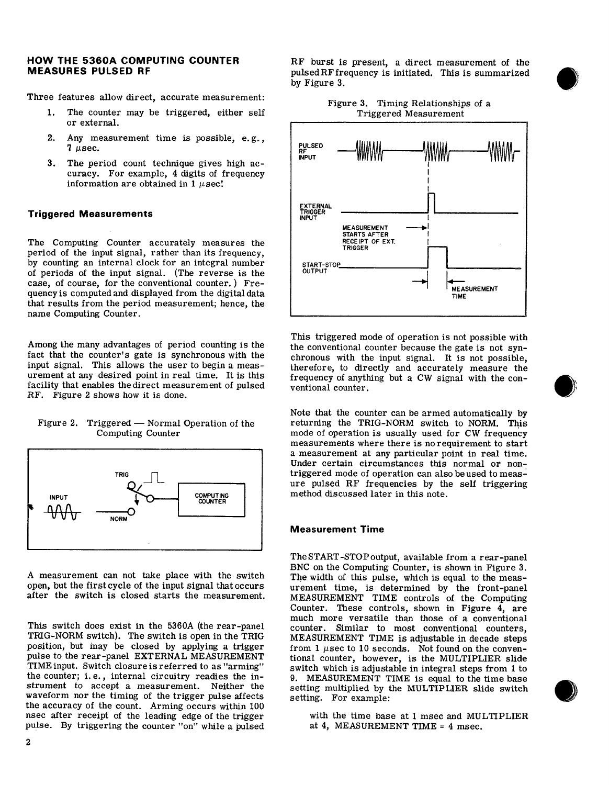## HOW THE 5360A COMPUTING COUNTER **MEASURES PULSED RF**

Three features allow direct, accurate measurement:

- $1.$ The counter may be triggered, either self or external.
- $2.$ Any measurement time is possible, e.g.,  $7$   $\mu$ sec.
- $3.$ The period count technique gives high accuracy. For example, 4 digits of frequency information are obtained in  $1 \mu$ sec!

#### **Triggered Measurements**

The Computing Counter accurately measures the period of the input signal, rather than its frequency, by counting an internal clock for an integral number of periods of the input signal. (The reverse is the case, of course, for the conventional counter.) Frequency is computed and displayed from the digital data that results from the period measurement; hence, the name Computing Counter.

Among the many advantages of period counting is the fact that the counter's gate is synchronous with the input signal. This allows the user to begin a measurement at any desired point in real time. It is this facility that enables the direct measurement of pulsed RF. Figure 2 shows how it is done.

Figure 2. Triggered — Normal Operation of the Computing Counter



A measurement can not take place with the switch open, but the first cycle of the input signal that occurs after the switch is closed starts the measurement.

This switch does exist in the 5360A (the rear-panel TRIG-NORM switch). The switch is open in the TRIG position, but may be closed by applying a trigger pulse to the rear-panel EXTERNAL MEASUREMENT TIME input. Switch closure is referred to as "arming" the counter; i.e., internal circuitry readies the instrument to accept a measurement. Neither the waveform nor the timing of the trigger pulse affects the accuracy of the count. Arming occurs within 100 nsec after receipt of the leading edge of the trigger pulse. By triggering the counter "on" while a pulsed





This triggered mode of operation is not possible with the conventional counter because the gate is not synchronous with the input signal. It is not possible, therefore, to directly and accurately measure the frequency of anything but a CW signal with the conventional counter.

Note that the counter can be armed automatically by returning the TRIG-NORM switch to NORM. This mode of operation is usually used for CW frequency measurements where there is no requirement to start a measurement at any particular point in real time. Under certain circumstances this normal or nontriggered mode of operation can also be used to measure pulsed RF frequencies by the self triggering method discussed later in this note.

#### **Measurement Time**

The START-STOP output, available from a rear-panel BNC on the Computing Counter, is shown in Figure 3. The width of this pulse, which is equal to the measurement time, is determined by the front-panel MEASUREMENT TIME controls of the Computing Counter. These controls, shown in Figure 4, are much more versatile than those of a conventional counter. Similar to most conventional counters, MEASUREMENT TIME is adjustable in decade steps from 1  $\mu$ sec to 10 seconds. Not found on the conventional counter, however, is the MULTIPLIER slide switch which is adjustable in integral steps from 1 to 9. MEASUREMENT TIME is equal to the time base setting multiplied by the MULTIPLIER slide switch setting. For example:

with the time base at 1 msec and MULTIPLIER at 4, MEASUREMENT TIME = 4 msec.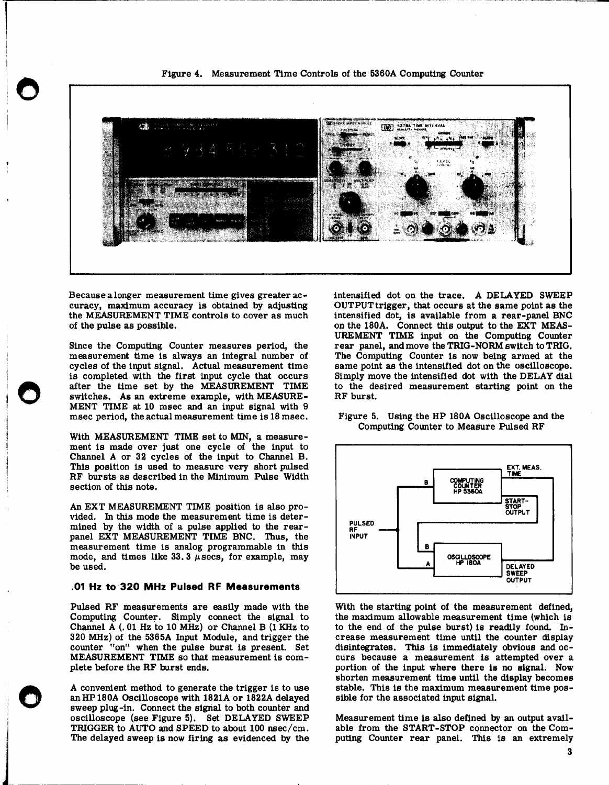Figure 4. Measurement Time Controls of the 5360A Computing Counter



Because a longer measurement time gives greater accuracy, maximum accuracy is obtained by adjusting the MEASUREMENT TIME controls to cover as much of the pulse as possible.

Since the Computing Counter measures period, the measurement time is always an integral number of cycles of the input signal. Actual measurement time is completed with the first input cycle that occurs after the time set by the MEASUREMENT TIME switches. As an extreme example, with MEASURE-MENT TIME at 10 msec and an input signal with 9 msec period, the actual measurement time is 18 msec.

With MEASUREMENT TIME set to MIN, a measurement is made over just one cycle of the input to Channel A or 32 cycles of the input to Channel B. This position is used to measure very short pulsed RF bursts as described in the Minimum Pulse Width section of this note.

An EXT MEASUREMENT TIME position is also provided. In this mode the measurement time is determined by the width of a pulse applied to the rearpanel EXT MEASUREMENT TIME BNC. Thus, the measurement time is analog programmable in this mode, and times like 33.3  $\mu$ secs, for example, may be used.

#### .01 Hz to 320 MHz Pulsed RF Measurements

Pulsed RF measurements are easily made with the Computing Counter. Simply connect the signal to Channel A (.01 Hz to 10 MHz) or Channel B (1 KHz to 320 MHz) of the 5365A Input Module, and trigger the counter "on" when the pulse burst is present. Set MEASUREMENT TIME so that measurement is complete before the RF burst ends.

A convenient method to generate the trigger is to use an HP180A Oscilloscope with 1821A or 1822A delayed sweep plug-in. Connect the signal to both counter and oscilloscope (see Figure 5). Set DELAYED SWEEP TRIGGER to AUTO and SPEED to about 100 nsec/cm. The delayed sweep is now firing as evidenced by the

intensified dot on the trace. A DELAYED SWEEP OUTPUT trigger, that occurs at the same point as the intensified dot, is available from a rear-panel BNC on the 180A. Connect this output to the EXT MEAS-UREMENT TIME input on the Computing Counter rear panel, and move the TRIG-NORM switch to TRIG. The Computing Counter is now being armed at the same point as the intensified dot on the oscilloscope. Simply move the intensified dot with the DELAY dial to the desired measurement starting point on the RF burst.

#### Figure 5. Using the HP 180A Oscilloscope and the Computing Counter to Measure Pulsed RF



With the starting point of the measurement defined, the maximum allowable measurement time (which is to the end of the pulse burst) is readily found. Increase measurement time until the counter display disintegrates. This is immediately obvious and occurs because a measurement is attempted over a portion of the input where there is no signal. Now shorten measurement time until the display becomes stable. This is the maximum measurement time possible for the associated input signal.

Measurement time is also defined by an output available from the START-STOP connector on the Com-<br>puting Counter rear panel. This is an extremely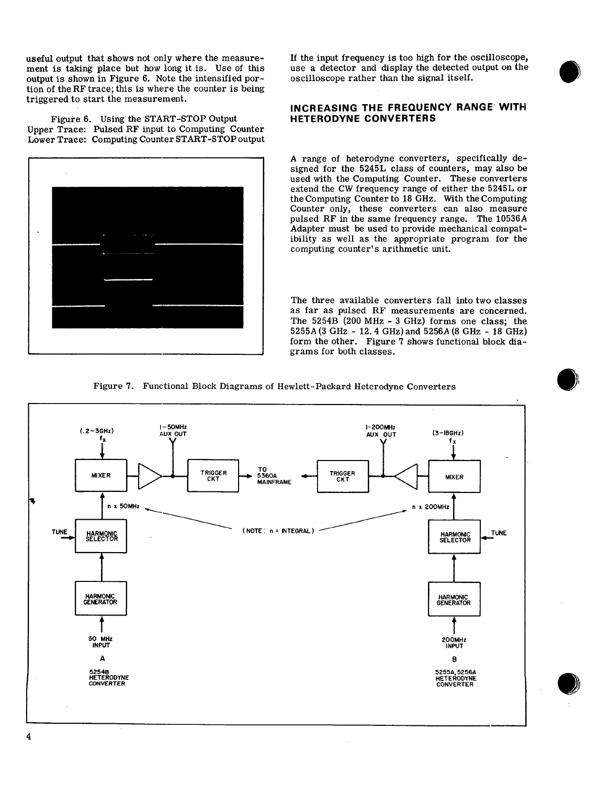useful output that shows not only where the measurement is taking place but how long it is. Use of this output is shown in Figure 6. Note the intensified portion of the RF trace; this is where the counter is being triggered to start the measurement.

Figure 6. Using the START-STOP Output Upper Trace: Pulsed RF input to Computing Counter Lower Trace: Computing Counter START-STOP output



If the input frequency is too high for the oscilloscope, use a detector and display the detected output on the oscilloscope rather than the signal itself.

# INCREASING THE FREQUENCY RANGE WITH **HETERODYNE CONVERTERS**

A range of heterodyne converters, specifically designed for the 5245L class of counters, may also be used with the Computing Counter. These converters extend the CW frequency range of either the 5245L or the Computing Counter to 18 GHz. With the Computing Counter only, these converters can also measure pulsed RF in the same frequency range. The 10536A Adapter must be used to provide mechanical compatibility as well as the appropriate program for the computing counter's arithmetic unit.

The three available converters fall into two classes as far as pulsed RF measurements are concerned. The 5254B (200 MHz - 3 GHz) forms one class; the 5255A (3 GHz - 12.4 GHz) and 5256A (8 GHz - 18 GHz) form the other. Figure 7 shows functional block diagrams for both classes.



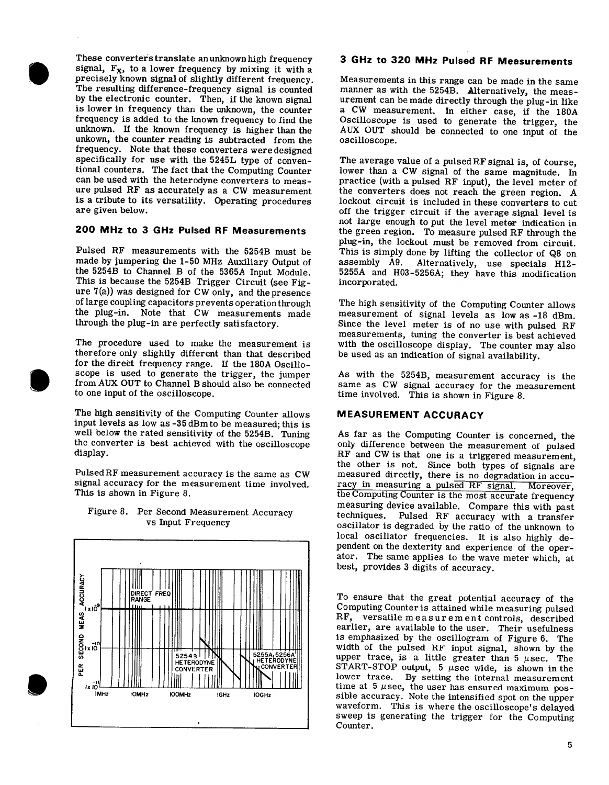These converters translate an unknown high frequency signal,  $F_X$ , to a lower frequency by mixing it with a precisely known signal of slightly different frequency. The resulting difference-frequency signal is counted by the electronic counter. Then, if the known signal is lower in frequency than the unknown, the counter frequency is added to the known frequency to find the unknown. If the known frequency is higher than the unkown, the counter reading is subtracted from the frequency. Note that these converters were designed specifically for use with the 5245L type of conventional counters. The fact that the Computing Counter can be used with the heterodyne converters to measure pulsed RF as accurately as a CW measurement is a tribute to its versatility. Operating procedures are given below.

# 200 MHz to 3 GHz Pulsed RF Measurements

Pulsed RF measurements with the 5254B must be made by jumpering the 1-50 MHz Auxiliary Output of the 5254B to Channel B of the 5365A Input Module. This is because the 5254B Trigger Circuit (see Figure  $7(a)$ ) was designed for CW only, and the presence of large coupling capacitors prevents operation through the plug-in. Note that CW measurements made through the plug-in are perfectly satisfactory.

The procedure used to make the measurement is therefore only slightly different than that described for the direct frequency range. If the 180A Oscilloscope is used to generate the trigger, the jumper from AUX OUT to Channel B should also be connected to one input of the oscilloscope.

The high sensitivity of the Computing Counter allows input levels as low as -35 dBm to be measured; this is well below the rated sensitivity of the 5254B. Tuning the converter is best achieved with the oscilloscope display.

Pulsed RF measurement accuracy is the same as CW signal accuracy for the measurement time involved. This is shown in Figure 8.

# Figure 8. Per Second Measurement Accuracy vs Input Frequency



# 3 GHz to 320 MHz Pulsed RF Measurements

Measurements in this range can be made in the same manner as with the 5254B. Alternatively, the measurement can be made directly through the plug-in like a CW measurement. In either case, if the 180A Oscilloscope is used to generate the trigger, the AUX OUT should be connected to one input of the oscilloscope.

The average value of a pulsed RF signal is, of course, lower than a CW signal of the same magnitude. In practice (with a pulsed RF input), the level meter of the converters does not reach the green region. A lockout circuit is included in these converters to cut off the trigger circuit if the average signal level is not large enough to put the level meter indication in the green region. To measure pulsed RF through the plug-in, the lockout must be removed from circuit. This is simply done by lifting the collector of Q8 on assembly A9. Alternatively, use specials H12-5255A and H03-5256A; they have this modification incorporated.

The high sensitivity of the Computing Counter allows measurement of signal levels as low as -18 dBm. Since the level meter is of no use with pulsed RF measurements, tuning the converter is best achieved with the oscilloscope display. The counter may also be used as an indication of signal availability.

As with the 5254B, measurement accuracy is the same as CW signal accuracy for the measurement time involved. This is shown in Figure 8.

# **MEASUREMENT ACCURACY**

As far as the Computing Counter is concerned, the only difference between the measurement of pulsed RF and CW is that one is a triggered measurement, the other is not. Since both types of signals are measured directly, there is no degradation in accuracy in measuring a pulsed RF signal. Moreover, the Computing Counter is the most accurate frequency measuring device available. Compare this with past techniques. Pulsed RF accuracy with a transfer oscillator is degraded by the ratio of the unknown to local oscillator frequencies. It is also highly dependent on the dexterity and experience of the operator. The same applies to the wave meter which, at best, provides 3 digits of accuracy.

To ensure that the great potential accuracy of the Computing Counter is attained while measuring pulsed RF, versatile measurement controls, described earlier, are available to the user. Their usefulness is emphasized by the oscillogram of Figure 6. The width of the pulsed RF input signal, shown by the upper trace, is a little greater than 5  $\mu$ sec. The START-STOP output, 5  $\mu$ sec wide, is shown in the lower trace. By setting the internal measurement time at  $5 \mu$ sec, the user has ensured maximum possible accuracy. Note the intensified spot on the upper waveform. This is where the oscilloscope's delayed sweep is generating the trigger for the Computing Counter.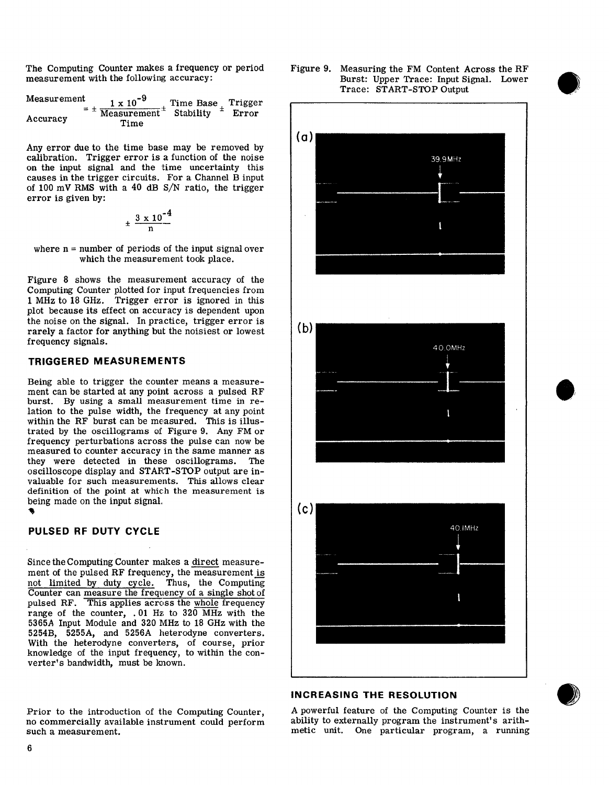The Computing Counter makes a frequency or period measurement with the following accuracy:

| Measurement | $1 \times 10^{-9}$                                                  | Time Base Trigger |       |
|-------------|---------------------------------------------------------------------|-------------------|-------|
| Accuracy    | $=$ $\pm$ Measurement <sup><math>\pm</math></sup> Stability<br>Time |                   | Error |

Any error due to the time base may be removed by calibration. Trigger error is a function of the noise on the input signal and the time uncertainty this causes in the trigger circuits. For a Channel B input of 100 mV RMS with a 40 dB S/N ratio, the trigger error is given by:

$$
\pm \frac{3 \times 10^{-4}}{n}
$$

where  $n =$  number of periods of the input signal over which the measurement took place.

Figure 8 shows the measurement accuracy of the Computing Counter plotted for input frequencies from 1 MHz to 18 GHz. Trigger error is ignored in this plot because its effect on accuracy is dependent upon the noise on the signal. In practice, trigger error is rarely a factor for anything but the noisiest or lowest frequency signals.

## **TRIGGERED MEASUREMENTS**

Being able to trigger the counter means a measurement can be started at any point across a pulsed RF burst. By using a small measurement time in relation to the pulse width, the frequency at any point within the RF burst can be measured. This is illustrated by the oscillograms of Figure 9. Any FM or frequency perturbations across the pulse can now be measured to counter accuracy in the same manner as they were detected in these oscillograms. The oscilloscope display and START-STOP output are invaluable for such measurements. This allows clear definition of the point at which the measurement is being made on the input signal.

# PULSED RF DUTY CYCLE

Since the Computing Counter makes a direct measurement of the pulsed RF frequency, the measurement is not limited by duty cycle. Thus, the Computing Counter can measure the frequency of a single shot of pulsed RF. This applies across the whole frequency range of the counter, .01 Hz to 320 MHz with the 5365A Input Module and 320 MHz to 18 GHz with the 5254B, 5255A, and 5256A heterodyne converters. With the heterodyne converters, of course, prior knowledge of the input frequency, to within the converter's bandwidth, must be known.

Prior to the introduction of the Computing Counter, no commercially available instrument could perform such a measurement.

Figure 9. Measuring the FM Content Across the RF Burst: Upper Trace: Input Signal. Lower Trace: START-STOP Output



# **INCREASING THE RESOLUTION**



A powerful feature of the Computing Counter is the ability to externally program the instrument's arithmetic unit. One particular program, a running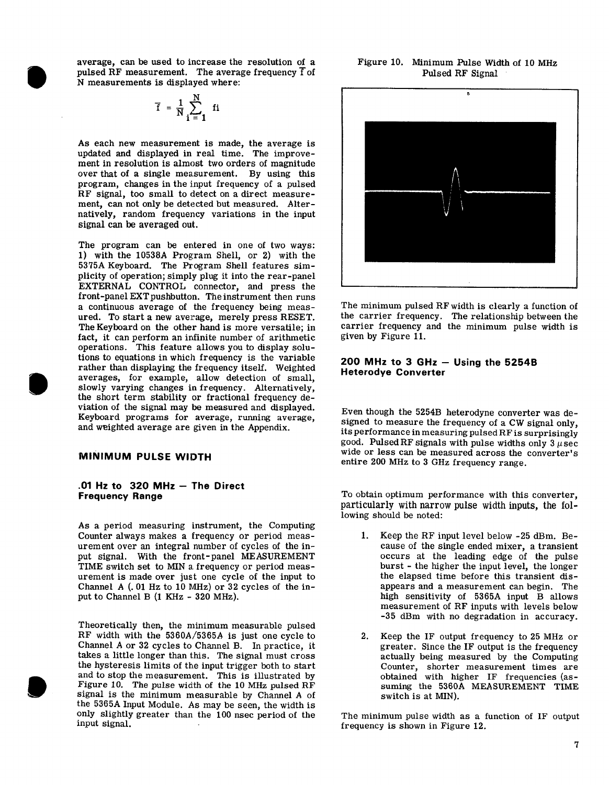average, can be used to increase the resolution of a pulsed RF measurement. The average frequency  $\overline{f}$  of N measurements is displayed where:

$$
\overline{f} = \frac{1}{N} \sum_{i=1}^{N} \mathbf{f}i
$$

As each new measurement is made, the average is updated and displayed in real time. The improvement in resolution is almost two orders of magnitude over that of a single measurement. By using this program, changes in the input frequency of a pulsed RF signal, too small to detect on a direct measurement, can not only be detected but measured. Alternatively, random frequency variations in the input signal can be averaged out.

The program can be entered in one of two ways: 1) with the 10538A Program Shell, or 2) with the 5375A Keyboard. The Program Shell features simplicity of operation; simply plug it into the rear-panel EXTERNAL CONTROL connector, and press the front-panel EXT pushbutton. The instrument then runs a continuous average of the frequency being measured. To start a new average, merely press RESET. The Keyboard on the other hand is more versatile; in fact, it can perform an infinite number of arithmetic operations. This feature allows you to display solutions to equations in which frequency is the variable rather than displaying the frequency itself. Weighted averages, for example, allow detection of small, slowly varying changes in frequency. Alternatively, the short term stability or fractional frequency deviation of the signal may be measured and displayed. Keyboard programs for average, running average, and weighted average are given in the Appendix.

#### **MINIMUM PULSE WIDTH**

#### .01 Hz to  $320$  MHz - The Direct **Frequency Range**

As a period measuring instrument, the Computing Counter always makes a frequency or period measurement over an integral number of cycles of the input signal. With the front-panel MEASUREMENT TIME switch set to MIN a frequency or period measurement is made over just one cycle of the input to Channel A (.01 Hz to 10 MHz) or 32 cycles of the input to Channel B (1 KHz - 320 MHz).

Theoretically then, the minimum measurable pulsed RF width with the 5360A/5365A is just one cycle to Channel A or 32 cycles to Channel B. In practice, it takes a little longer than this. The signal must cross the hysteresis limits of the input trigger both to start<br>and to stop the measurement. This is illustrated by<br>Figure 10. The pulse width of the 10 MHz pulsed RF signal is the minimum measurable by Channel A of the 5365A Input Module. As may be seen, the width is only slightly greater than the 100 nsec period of the input signal.

# Figure 10. Minimum Pulse Width of 10 MHz Pulsed RF Signal



The minimum pulsed RF width is clearly a function of the carrier frequency. The relationship between the carrier frequency and the minimum pulse width is given by Figure 11.

#### 200 MHz to 3 GHz  $-$  Using the 5254B **Heterodye Converter**

Even though the 5254B heterodyne converter was designed to measure the frequency of a CW signal only, its performance in measuring pulsed RF is surprisingly good. Pulsed RF signals with pulse widths only  $3 \mu$ sec wide or less can be measured across the converter's entire 200 MHz to 3 GHz frequency range.

To obtain optimum performance with this converter, particularly with narrow pulse width inputs, the following should be noted:

- 1. Keep the RF input level below -25 dBm. Because of the single ended mixer, a transient occurs at the leading edge of the pulse burst - the higher the input level, the longer the elapsed time before this transient disappears and a measurement can begin. The high sensitivity of 5365A input B allows measurement of RF inputs with levels below -35 dBm with no degradation in accuracy.
- $2.$ Keep the IF output frequency to 25 MHz or greater. Since the IF output is the frequency actually being measured by the Computing Counter, shorter measurement times are obtained with higher IF frequencies (assuming the 5360A MEASUREMENT TIME switch is at MIN).

The minimum pulse width as a function of IF output frequency is shown in Figure 12.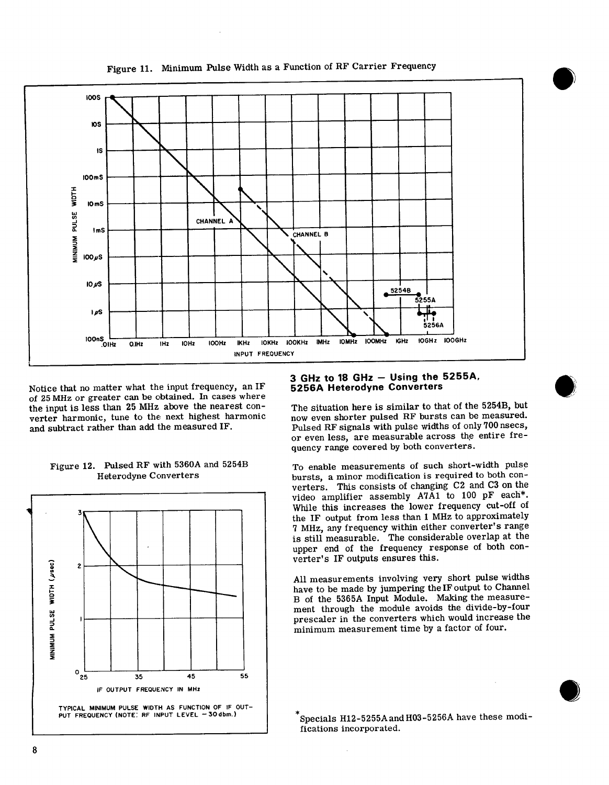

Figure 11. Minimum Pulse Width as a Function of RF Carrier Frequency

Notice that no matter what the input frequency, an IF of 25 MHz or greater can be obtained. In cases where the input is less than 25 MHz above the nearest converter harmonic, tune to the next highest harmonic and subtract rather than add the measured IF.

# $\overline{2}$ AINIMUM PULSE WIDTH (USBC  $o_{25}$ 45 55 35 IF OUTPUT FREQUENCY IN MHz TYPICAL MINIMUM PULSE WIDTH AS FUNCTION OF IF OUT-PUT FREQUENCY (NOTE: RF INPUT LEVEL - 30 dbm.)

# Figure 12. Pulsed RF with 5360A and 5254B **Heterodyne Converters**

#### 3 GHz to 18 GHz  $-$  Using the 5255A, **5256A Heterodyne Converters**

The situation here is similar to that of the 5254B, but now even shorter pulsed RF bursts can be measured. Pulsed RF signals with pulse widths of only 700 nsecs, or even less, are measurable across the entire frequency range covered by both converters.

To enable measurements of such short-width pulse bursts, a minor modification is required to both converters. This consists of changing C2 and C3 on the video amplifier assembly A7A1 to 100 pF each\*. While this increases the lower frequency cut-off of the IF output from less than 1 MHz to approximately 7 MHz, any frequency within either converter's range is still measurable. The considerable overlap at the upper end of the frequency response of both converter's IF outputs ensures this.

All measurements involving very short pulse widths have to be made by jumpering the IF output to Channel B of the 5365A Input Module. Making the measurement through the module avoids the divide-by-four prescaler in the converters which would increase the minimum measurement time by a factor of four.

Specials H12-5255A and H03-5256A have these modifications incorporated.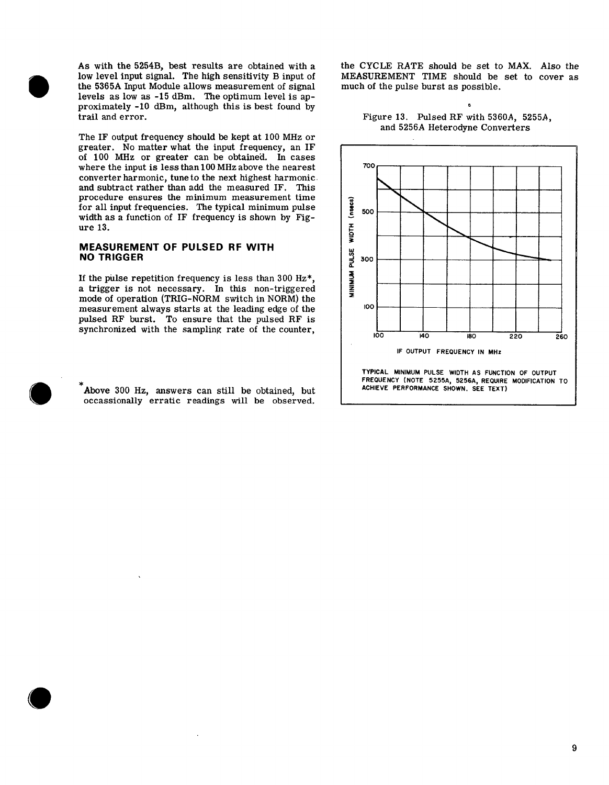As with the 5254B, best results are obtained with a low level input signal. The high sensitivity B input of the 5365A Input Module allows measurement of signal levels as low as -15 dBm. The optimum level is approximately -10 dBm, although this is best found by trail and error.

The IF output frequency should be kept at 100 MHz or greater. No matter what the input frequency, an IF of 100 MHz or greater can be obtained. In cases where the input is less than 100 MHz above the nearest converter harmonic, tune to the next highest harmonic. and subtract rather than add the measured IF. This procedure ensures the minimum measurement time for all input frequencies. The typical minimum pulse width as a function of IF frequency is shown by Figure 13.

## MEASUREMENT OF PULSED RF WITH **NO TRIGGER**

If the pulse repetition frequency is less than 300  $Hz^*$ , a trigger is not necessary. In this non-triggered mode of operation (TRIG-NORM switch in NORM) the measurement always starts at the leading edge of the pulsed RF burst. To ensure that the pulsed RF is synchronized with the sampling rate of the counter,

Above 300 Hz, answers can still be obtained, but occassionally erratic readings will be observed.

the CYCLE RATE should be set to MAX. Also the MEASUREMENT TIME should be set to cover as much of the pulse burst as possible.



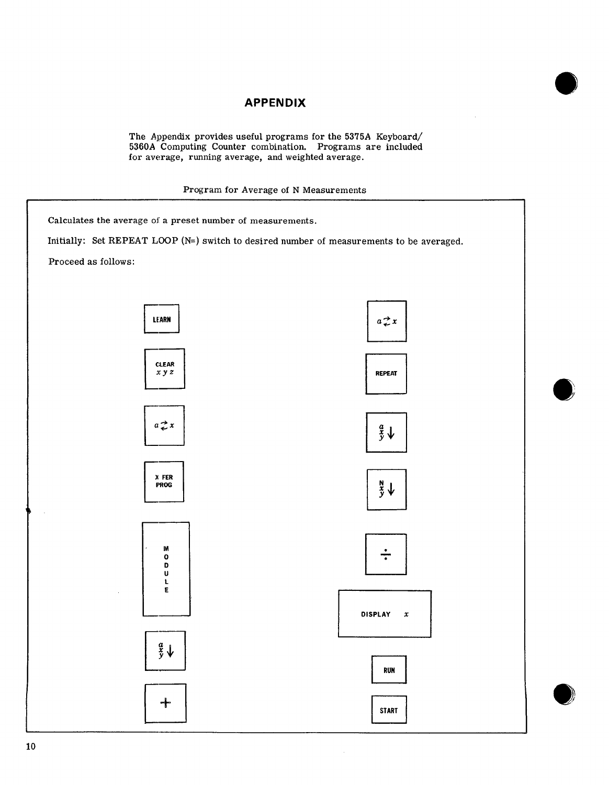# **APPENDIX**

The Appendix provides useful programs for the 5375A Keyboard/<br>5360A Computing Counter combination. Programs are included for average, running average, and weighted average.

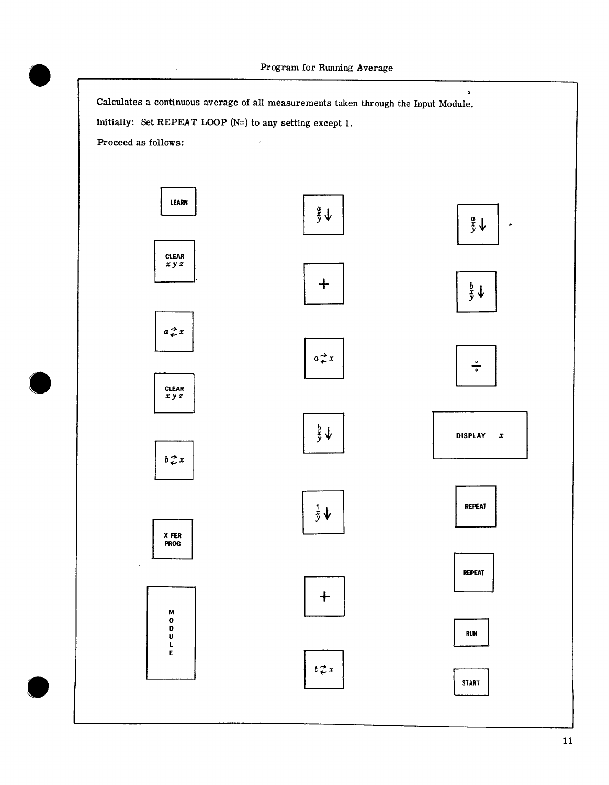$\bullet$ 

Calculates a continuous average of all measurements taken through the Input Module.

Initially: Set REPEAT LOOP ( $N=$ ) to any setting except 1.

Proceed as follows:

 $\hat{\mathcal{A}}$ 

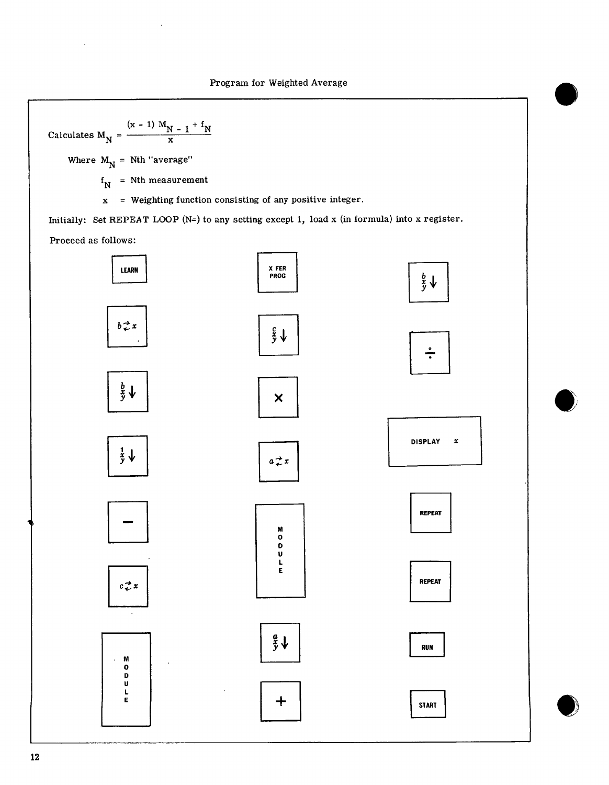Calculates 
$$
M_N = \frac{(x - 1) M_N - 1 + f_N}{x}
$$

Where  $M_N$  = Nth "average"

 $f_N$  = Nth measurement

 $x = Weighting function consisting of any positive integer.$ 

Initially: Set REPEAT LOOP ( $N=$ ) to any setting except 1, load x (in formula) into x register. Proceed as follows: